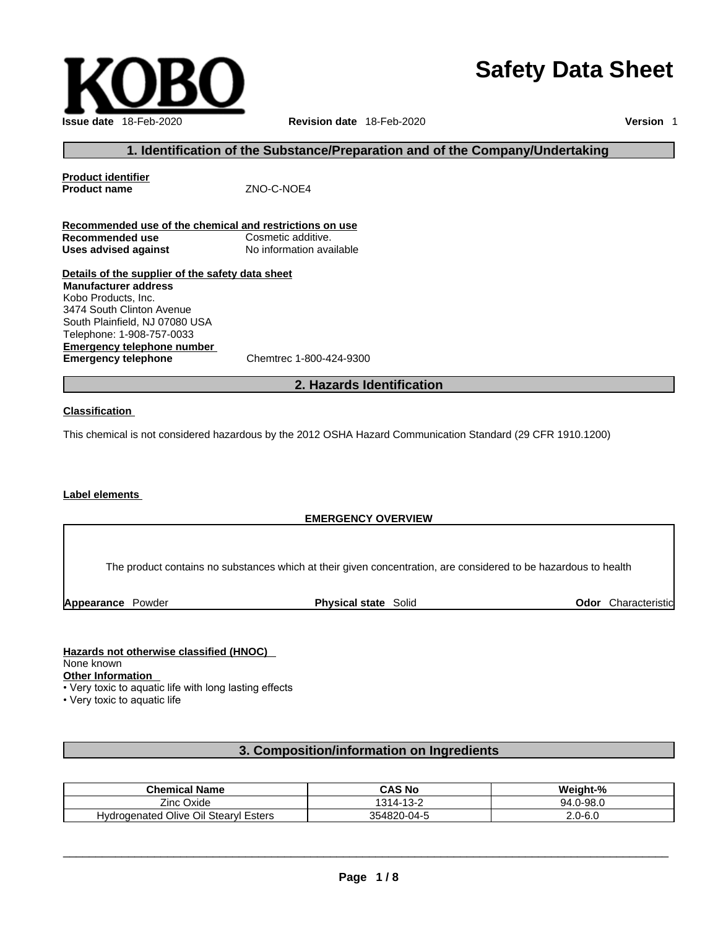# **Issue date** 18-Feb-2020 **Revision date** 18-Feb-2020 **Version** 1

## **Safety Data Sheet**

#### **1. Identification of the Substance/Preparation and of the Company/Undertaking**

**Product identifier Product name ZNO-C-NOE4** 

|                      | Recommended use of the chemical and restrictions on use |
|----------------------|---------------------------------------------------------|
| Recommended use      | Cosmetic additive.                                      |
| Uses advised against | No information available                                |

**Details of the supplier of the safety data sheet Manufacturer address** Kobo Products, Inc. 3474 South Clinton Avenue South Plainfield, NJ 07080 USA Telephone: 1-908-757-0033

**Emergency telephone number Emergency telephone** Chemtrec 1-800-424-9300

#### **2. Hazards Identification**

#### **Classification**

This chemical is not considered hazardous by the 2012 OSHA Hazard Communication Standard (29 CFR 1910.1200)

#### **Label elements**

#### **EMERGENCY OVERVIEW**

The product contains no substances which at their given concentration, are considered to be hazardous to health

**Appearance** Powder **Physical state** Solid

**Odor** Characteristic

**Hazards not otherwise classified (HNOC)**  None known **Other Information** • Very toxic to aquatic life with long lasting effects

• Very toxic to aquatic life

#### **3. Composition/information on Ingredients**

| Chemical Name                            | <b>CAS No</b>                    | Weight-%          |
|------------------------------------------|----------------------------------|-------------------|
| Zinc Oxide                               | .42c<br>121.<br>' / -<br>∕ -تې ⊢ | $.0 - 98.0$<br>۵4 |
| Hydrogenated Olive Oil Stearyl<br>Esters | 354820-04-5                      | 2.0-6.0           |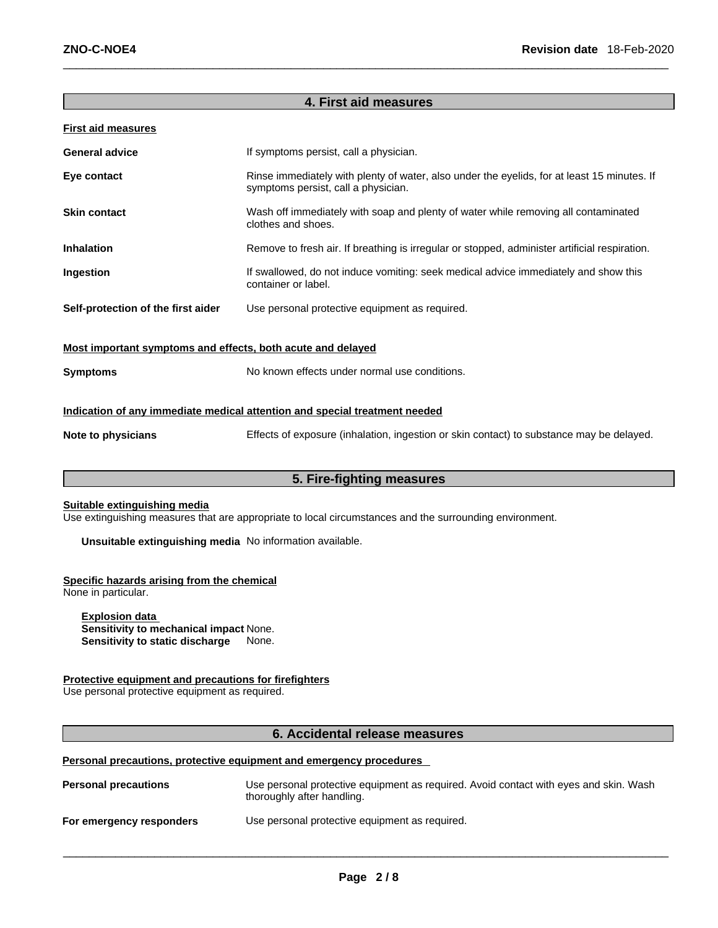#### **4. First aid measures**

#### **First aid measures**

| <b>General advice</b>              | If symptoms persist, call a physician.                                                                                             |
|------------------------------------|------------------------------------------------------------------------------------------------------------------------------------|
| Eye contact                        | Rinse immediately with plenty of water, also under the eyelids, for at least 15 minutes. If<br>symptoms persist, call a physician. |
| <b>Skin contact</b>                | Wash off immediately with soap and plenty of water while removing all contaminated<br>clothes and shoes.                           |
| <b>Inhalation</b>                  | Remove to fresh air. If breathing is irregular or stopped, administer artificial respiration.                                      |
| <b>Ingestion</b>                   | If swallowed, do not induce vomiting: seek medical advice immediately and show this<br>container or label.                         |
| Self-protection of the first aider | Use personal protective equipment as required.                                                                                     |
|                                    |                                                                                                                                    |

**Most important symptoms and effects, both acute and delayed**

**Symptoms** No known effects under normal use conditions.

#### **Indication of any immediate medical attention and special treatment needed**

**Note to physicians** Effects of exposure (inhalation, ingestion or skin contact) to substance may be delayed.

#### **5. Fire-fighting measures**

#### **Suitable extinguishing media**

Use extinguishing measures that are appropriate to local circumstances and the surrounding environment.

**Unsuitable extinguishing media** No information available.

#### **Specific hazards arising from the chemical**

None in particular.

**Explosion data Sensitivity to mechanical impact** None. **Sensitivity to static discharge** None.

#### **Protective equipment and precautions for firefighters**

Use personal protective equipment as required.

#### **6. Accidental release measures**

#### **Personal precautions, protective equipment and emergency procedures**

| <b>Personal precautions</b> | Use personal protective equipment as required. Avoid contact with eyes and skin. Wash<br>thoroughly after handling. |
|-----------------------------|---------------------------------------------------------------------------------------------------------------------|
| For emergency responders    | Use personal protective equipment as required.                                                                      |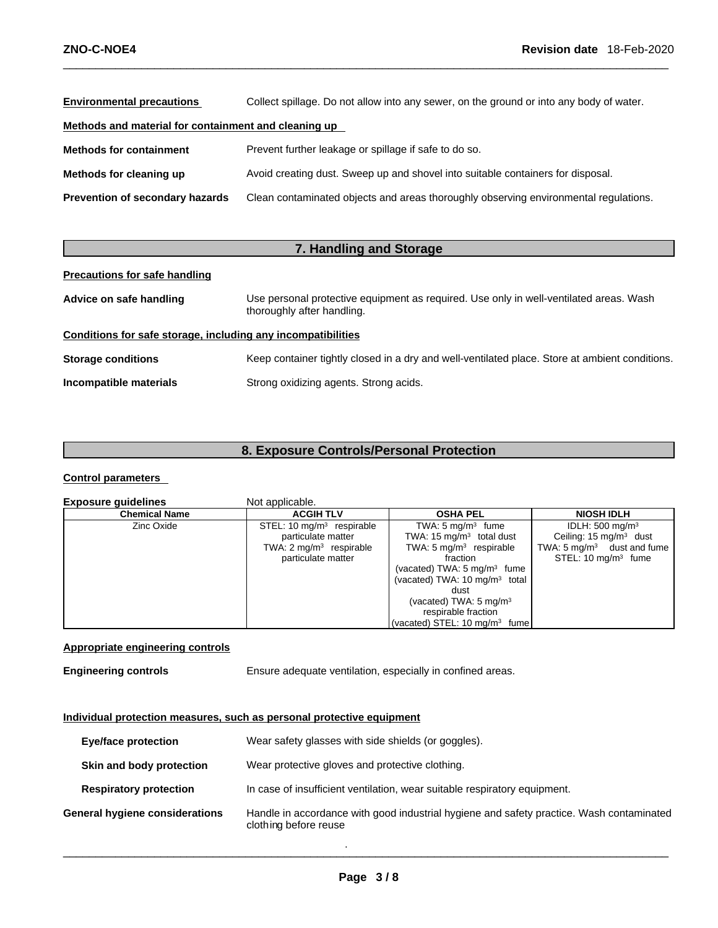| <b>Environmental precautions</b>                     | Collect spillage. Do not allow into any sewer, on the ground or into any body of water. |  |
|------------------------------------------------------|-----------------------------------------------------------------------------------------|--|
| Methods and material for containment and cleaning up |                                                                                         |  |
| <b>Methods for containment</b>                       | Prevent further leakage or spillage if safe to do so.                                   |  |
| Methods for cleaning up                              | Avoid creating dust. Sweep up and shovel into suitable containers for disposal.         |  |
| <b>Prevention of secondary hazards</b>               | Clean contaminated objects and areas thoroughly observing environmental regulations.    |  |

| 7. Handling and Storage                                      |                                                                                                                      |  |
|--------------------------------------------------------------|----------------------------------------------------------------------------------------------------------------------|--|
| <b>Precautions for safe handling</b>                         |                                                                                                                      |  |
| Advice on safe handling                                      | Use personal protective equipment as required. Use only in well-ventilated areas. Wash<br>thoroughly after handling. |  |
| Conditions for safe storage, including any incompatibilities |                                                                                                                      |  |
| <b>Storage conditions</b>                                    | Keep container tightly closed in a dry and well-ventilated place. Store at ambient conditions.                       |  |
| Incompatible materials                                       | Strong oxidizing agents. Strong acids.                                                                               |  |

## **8. Exposure Controls/Personal Protection**

#### **Control parameters**

| <b>Exposure guidelines</b> | Not applicable.                    |                                          |                                       |
|----------------------------|------------------------------------|------------------------------------------|---------------------------------------|
| <b>Chemical Name</b>       | <b>ACGIH TLV</b>                   | <b>OSHA PEL</b>                          | <b>NIOSH IDLH</b>                     |
| Zinc Oxide                 | STEL: 10 $mg/m3$ respirable        | TWA: $5 \text{ mg/m}^3$ fume             | IDLH: $500 \text{ mg/m}^3$            |
|                            | particulate matter                 | TWA: 15 $mq/m3$ total dust               | Ceiling: $15 \text{ mg/m}^3$ dust     |
|                            | TWA: $2 \text{ mg/m}^3$ respirable | TWA: $5 \text{ mg/m}^3$ respirable       | TWA: $5 \text{ mg/m}^3$ dust and fume |
|                            | particulate matter                 | fraction                                 | STEL: $10 \text{ mg/m}^3$ fume        |
|                            |                                    | (vacated) TWA: $5 \text{ mg/m}^3$ fume   |                                       |
|                            |                                    | (vacated) TWA: $10 \text{ mg/m}^3$ total |                                       |
|                            |                                    | dust                                     |                                       |
|                            |                                    | (vacated) TWA: $5 \text{ mg/m}^3$        |                                       |
|                            |                                    | respirable fraction                      |                                       |
|                            |                                    | (vacated) STEL: 10 $mq/m3$ fume          |                                       |

#### **Appropriate engineering controls**

**Engineering controls** Ensure adequate ventilation, especially in confined areas.

#### **Individual protection measures, such as personal protective equipment**

| <b>Eye/face protection</b>     | Wear safety glasses with side shields (or goggles).                                                               |
|--------------------------------|-------------------------------------------------------------------------------------------------------------------|
| Skin and body protection       | Wear protective gloves and protective clothing.                                                                   |
| <b>Respiratory protection</b>  | In case of insufficient ventilation, wear suitable respiratory equipment.                                         |
| General hygiene considerations | Handle in accordance with good industrial hygiene and safety practice. Wash contaminated<br>clothing before reuse |

. \_\_\_\_\_\_\_\_\_\_\_\_\_\_\_\_\_\_\_\_\_\_\_\_\_\_\_\_\_\_\_\_\_\_\_\_\_\_\_\_\_\_\_\_\_\_\_\_\_\_\_\_\_\_\_\_\_\_\_\_\_\_\_\_\_\_\_\_\_\_\_\_\_\_\_\_\_\_\_\_\_\_\_\_\_\_\_\_\_\_\_\_\_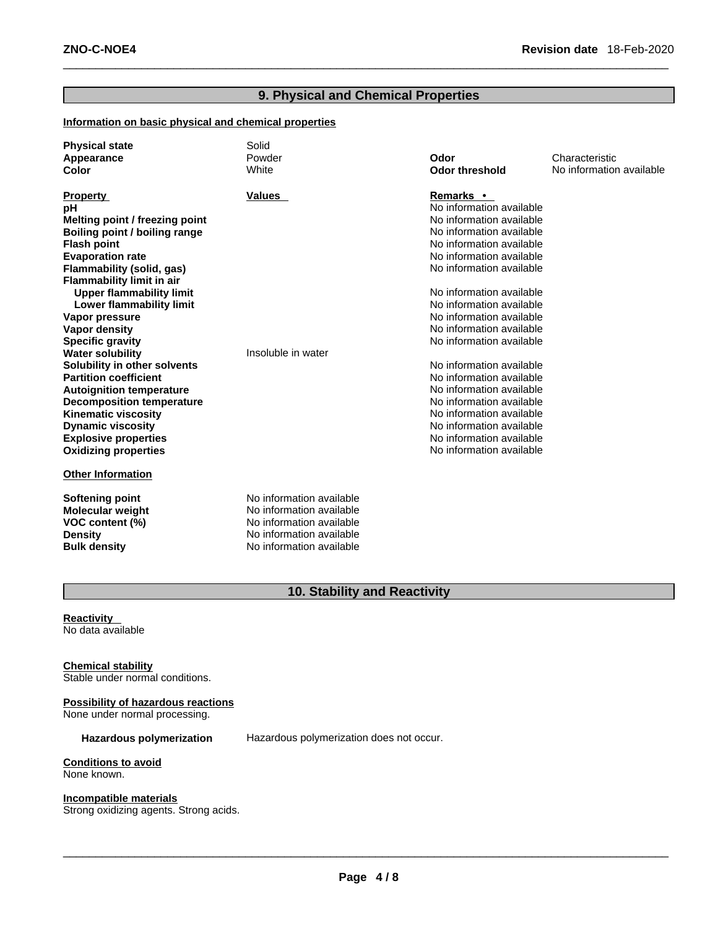#### **9. Physical and Chemical Properties**

#### **Information on basic physical and chemical properties**

| <b>Physical state</b>            | Solid                    |                          |                          |
|----------------------------------|--------------------------|--------------------------|--------------------------|
| Appearance                       | Powder                   | Odor                     | Characteristic           |
| Color                            | White                    | <b>Odor threshold</b>    | No information available |
|                                  |                          |                          |                          |
| <b>Property</b>                  | Values                   | <b>Remarks</b> •         |                          |
| рH                               |                          | No information available |                          |
| Melting point / freezing point   |                          | No information available |                          |
| Boiling point / boiling range    |                          | No information available |                          |
| <b>Flash point</b>               |                          | No information available |                          |
| <b>Evaporation rate</b>          |                          | No information available |                          |
| Flammability (solid, gas)        |                          | No information available |                          |
| <b>Flammability limit in air</b> |                          |                          |                          |
| <b>Upper flammability limit</b>  |                          | No information available |                          |
| Lower flammability limit         |                          | No information available |                          |
| Vapor pressure                   |                          | No information available |                          |
| <b>Vapor density</b>             |                          | No information available |                          |
| <b>Specific gravity</b>          |                          | No information available |                          |
| <b>Water solubility</b>          | Insoluble in water       |                          |                          |
| Solubility in other solvents     |                          | No information available |                          |
| <b>Partition coefficient</b>     |                          | No information available |                          |
| <b>Autoignition temperature</b>  |                          | No information available |                          |
| <b>Decomposition temperature</b> |                          | No information available |                          |
| <b>Kinematic viscosity</b>       |                          | No information available |                          |
| <b>Dynamic viscosity</b>         |                          | No information available |                          |
| <b>Explosive properties</b>      |                          | No information available |                          |
| <b>Oxidizing properties</b>      |                          | No information available |                          |
| <b>Other Information</b>         |                          |                          |                          |
|                                  |                          |                          |                          |
| <b>Softening point</b>           | No information available |                          |                          |
| <b>Molecular weight</b>          | No information available |                          |                          |
| VOC content (%)                  | No information available |                          |                          |
| <b>Density</b>                   | No information available |                          |                          |
| <b>Bulk density</b>              | No information available |                          |                          |

## **10. Stability and Reactivity**

**Reactivity**  No data available

**Chemical stability** Stable under normal conditions.

#### **Possibility of hazardous reactions**

None under normal processing.

**Hazardous polymerization** Hazardous polymerization does not occur.

#### **Conditions to avoid** None known.

**Incompatible materials**

Strong oxidizing agents. Strong acids.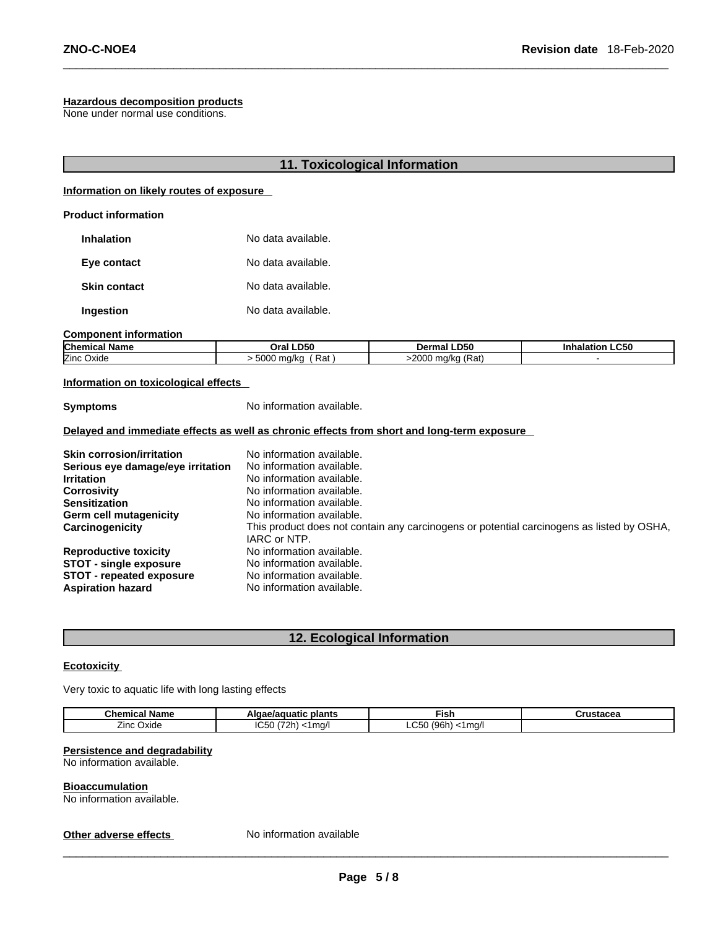#### **Hazardous decomposition products**

None under normal use conditions.

#### **11. Toxicological Information**

#### **Information on likely routes of exposure**

#### **Product information**

| <b>Inhalation</b>   | No data available. |
|---------------------|--------------------|
| Eye contact         | No data available. |
| <b>Skin contact</b> | No data available. |
| Ingestion           | No data available. |

#### **Component information**

| Chemical<br>- -<br>Name | Oral LD50                                      | <b>LD50</b><br>Dermal   | <b>.C50</b><br>Inhalatior. |
|-------------------------|------------------------------------------------|-------------------------|----------------------------|
| Zinc Oxide              | $\Gamma$ <sup>00</sup><br>Rat<br>ma/ko<br>5000 | (Rat)<br>-2000<br>ma/ka |                            |

#### **Information on toxicological effects**

**Symptoms** No information available.

#### **Delayed and immediate effects as well as chronic effects from short and long-term exposure**

| <b>Skin corrosion/irritation</b>  | No information available.                                                                                 |
|-----------------------------------|-----------------------------------------------------------------------------------------------------------|
| Serious eye damage/eye irritation | No information available.                                                                                 |
| <b>Irritation</b>                 | No information available.                                                                                 |
| <b>Corrosivity</b>                | No information available.                                                                                 |
| <b>Sensitization</b>              | No information available.                                                                                 |
| Germ cell mutagenicity            | No information available.                                                                                 |
| Carcinogenicity                   | This product does not contain any carcinogens or potential carcinogens as listed by OSHA,<br>IARC or NTP. |
| <b>Reproductive toxicity</b>      | No information available.                                                                                 |
| <b>STOT - single exposure</b>     | No information available.                                                                                 |
| <b>STOT - repeated exposure</b>   | No information available.                                                                                 |
| <b>Aspiration hazard</b>          | No information available.                                                                                 |

#### **12. Ecological Information**

#### **Ecotoxicity**

Very toxic to aquatic life with long lasting effects

| <b>Chemical Name</b>         | plants<br>Algae/aguatic                 | ∃ısh                                    | Crustacea |
|------------------------------|-----------------------------------------|-----------------------------------------|-----------|
| --<br>$\sum$<br>Oxide<br>--- | <b>IC50</b><br>270 <sub>h</sub><br>ma/l | $\sim$ $\sim$<br>'96h<br><1ma/l<br>⊸∪ວ∪ |           |

#### **Persistence and degradability**

No information available.

#### **Bioaccumulation**

No information available.

#### **Other adverse effects** No information available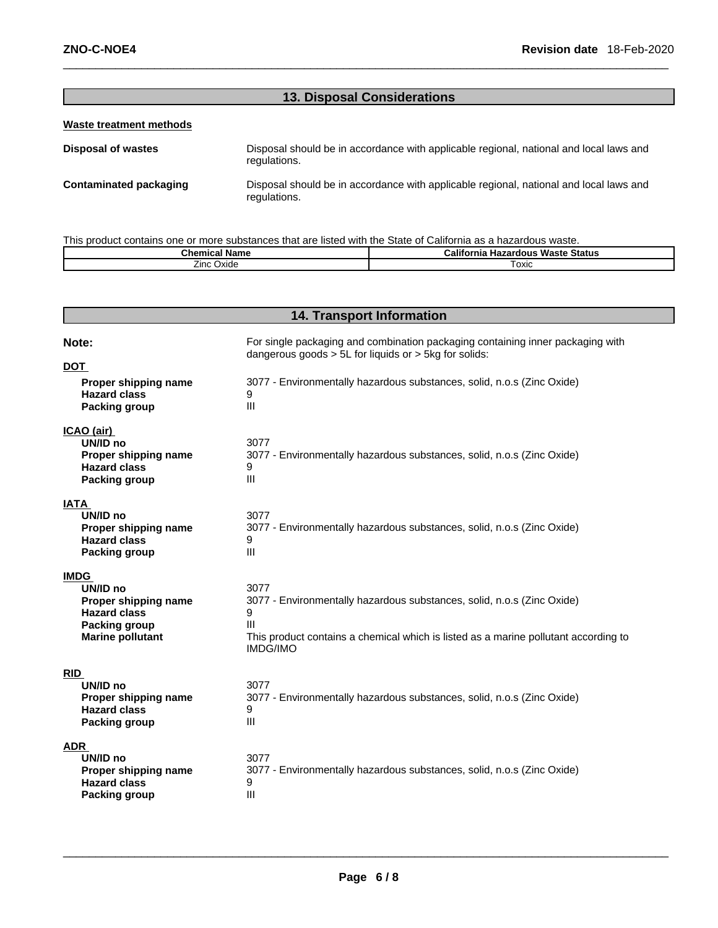#### **13. Disposal Considerations**

#### **Waste treatment methods**

**Disposal of wastes** Disposal should be in accordance with applicable regional, national and local laws and regulations. **Contaminated packaging** Disposal should be in accordance with applicable regional, national and local laws and regulations.

This product contains one or more substances that are listed with the State of California as a hazardous waste.

| Chemical<br>Name | <br>Waste<br>∘Status<br>California<br><b>Hazardous</b> |  |
|------------------|--------------------------------------------------------|--|
| Oxide<br>∠inc∴   | Toxic                                                  |  |

#### **14. Transport Information**

| Note:                                                                           | For single packaging and combination packaging containing inner packaging with<br>dangerous goods $> 5L$ for liquids or $> 5kg$ for solids: |  |  |  |
|---------------------------------------------------------------------------------|---------------------------------------------------------------------------------------------------------------------------------------------|--|--|--|
| <b>DOT</b>                                                                      |                                                                                                                                             |  |  |  |
| Proper shipping name<br><b>Hazard class</b><br>Packing group                    | 3077 - Environmentally hazardous substances, solid, n.o.s (Zinc Oxide)<br>9<br>$\mathbf{III}$                                               |  |  |  |
| ICAO (air)                                                                      |                                                                                                                                             |  |  |  |
| UN/ID no<br>Proper shipping name<br><b>Hazard class</b><br><b>Packing group</b> | 3077<br>3077 - Environmentally hazardous substances, solid, n.o.s (Zinc Oxide)<br>$\mathbf{III}$                                            |  |  |  |
| <b>IATA</b>                                                                     |                                                                                                                                             |  |  |  |
| UN/ID no<br>Proper shipping name<br><b>Hazard class</b><br><b>Packing group</b> | 3077<br>3077 - Environmentally hazardous substances, solid, n.o.s (Zinc Oxide)<br>9<br>III                                                  |  |  |  |
| <b>IMDG</b>                                                                     |                                                                                                                                             |  |  |  |
| UN/ID no                                                                        | 3077                                                                                                                                        |  |  |  |
| Proper shipping name                                                            | 3077 - Environmentally hazardous substances, solid, n.o.s (Zinc Oxide)                                                                      |  |  |  |
| <b>Hazard class</b><br>Packing group                                            | 9<br>Ш                                                                                                                                      |  |  |  |
| <b>Marine pollutant</b>                                                         | This product contains a chemical which is listed as a marine pollutant according to<br><b>IMDG/IMO</b>                                      |  |  |  |
| RID                                                                             |                                                                                                                                             |  |  |  |
| UN/ID no                                                                        | 3077                                                                                                                                        |  |  |  |
| Proper shipping name                                                            | 3077 - Environmentally hazardous substances, solid, n.o.s (Zinc Oxide)                                                                      |  |  |  |
| <b>Hazard class</b><br>Packing group                                            | 9<br>III                                                                                                                                    |  |  |  |
| <b>ADR</b>                                                                      |                                                                                                                                             |  |  |  |
| UN/ID no                                                                        | 3077                                                                                                                                        |  |  |  |
| Proper shipping name                                                            | 3077 - Environmentally hazardous substances, solid, n.o.s (Zinc Oxide)                                                                      |  |  |  |
| <b>Hazard class</b>                                                             | 9                                                                                                                                           |  |  |  |
| <b>Packing group</b>                                                            | III                                                                                                                                         |  |  |  |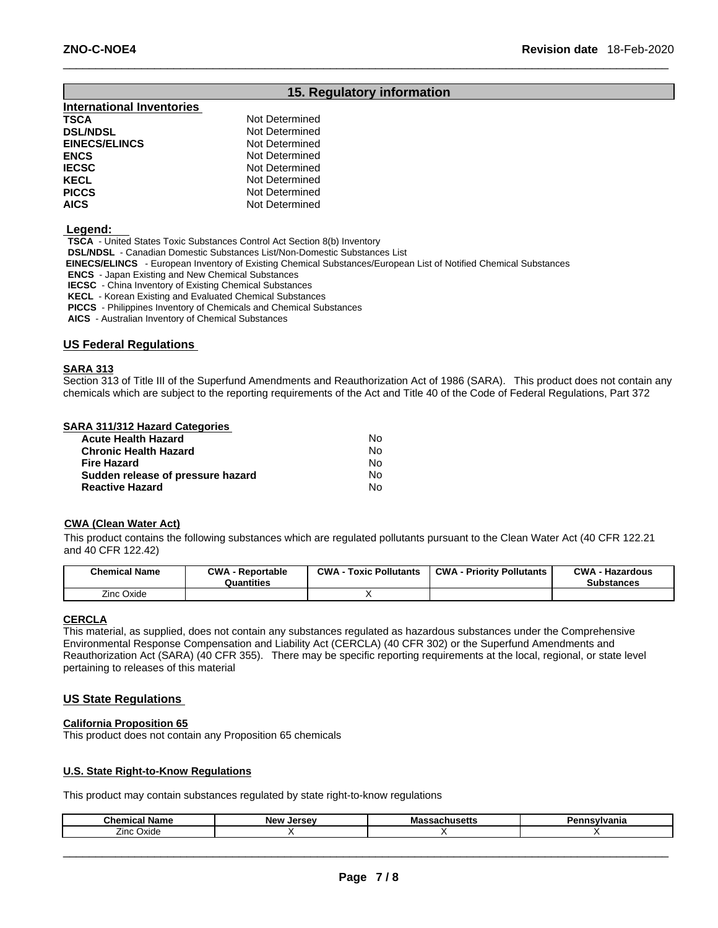#### **15. Regulatory information**

| <b>International Inventories</b> |                |
|----------------------------------|----------------|
| TSCA                             | Not Determined |
| <b>DSL/NDSL</b>                  | Not Determined |
| <b>EINECS/ELINCS</b>             | Not Determined |
| ENCS                             | Not Determined |
| IECSC                            | Not Determined |
| KECL                             | Not Determined |
| <b>PICCS</b>                     | Not Determined |
| AICS                             | Not Determined |

#### **Legend:**

**TSCA** - United States Toxic Substances Control Act Section 8(b) Inventory

**DSL/NDSL** - Canadian Domestic Substances List/Non-Domestic Substances List

 **EINECS/ELINCS** - European Inventory of Existing Chemical Substances/European List of Notified Chemical Substances

**ENCS** - Japan Existing and New Chemical Substances

**IECSC** - China Inventory of Existing Chemical Substances

**KECL** - Korean Existing and Evaluated Chemical Substances

**PICCS** - Philippines Inventory of Chemicals and Chemical Substances

**AICS** - Australian Inventory of Chemical Substances

#### **US Federal Regulations**

#### **SARA 313**

Section 313 of Title III of the Superfund Amendments and Reauthorization Act of 1986 (SARA). This product does not contain any chemicals which are subject to the reporting requirements of the Act and Title 40 of the Code of Federal Regulations, Part 372

#### **SARA 311/312 Hazard Categories**

| <b>Acute Health Hazard</b>        | Nο  |
|-----------------------------------|-----|
| <b>Chronic Health Hazard</b>      | No. |
| <b>Fire Hazard</b>                | N٥  |
| Sudden release of pressure hazard | N٥  |
| <b>Reactive Hazard</b>            | N٥  |

#### **CWA (Clean Water Act)**

This product contains the following substances which are regulated pollutants pursuant to the Clean Water Act (40 CFR 122.21 and 40 CFR 122.42)

| <b>Chemical Name</b> | <b>CWA</b><br>Reportable<br>Quantities | <b>CWA</b><br><b>Toxic Pollutants</b> | CWA-<br><b>Priority Pollutants</b> | <b>CWA</b><br><b>Hazardous</b><br>Substances |
|----------------------|----------------------------------------|---------------------------------------|------------------------------------|----------------------------------------------|
| Zinc Oxide           |                                        |                                       |                                    |                                              |

#### **CERCLA**

This material, as supplied, does not contain any substances regulated as hazardous substances under the Comprehensive Environmental Response Compensation and Liability Act (CERCLA) (40 CFR 302) or the Superfund Amendments and Reauthorization Act (SARA) (40 CFR 355). There may be specific reporting requirements at the local, regional, or state level pertaining to releases of this material

#### **US State Regulations**

#### **California Proposition 65**

This product does not contain any Proposition 65 chemicals

#### **U.S. State Right-to-Know Regulations**

This product may contain substances regulated by state right-to-know regulations

| анк                 | <b>New</b><br>Jersey | - -<br>IVIC<br> | ------<br>21 I I C |
|---------------------|----------------------|-----------------|--------------------|
| --<br>∠inc<br>Oxide |                      |                 |                    |